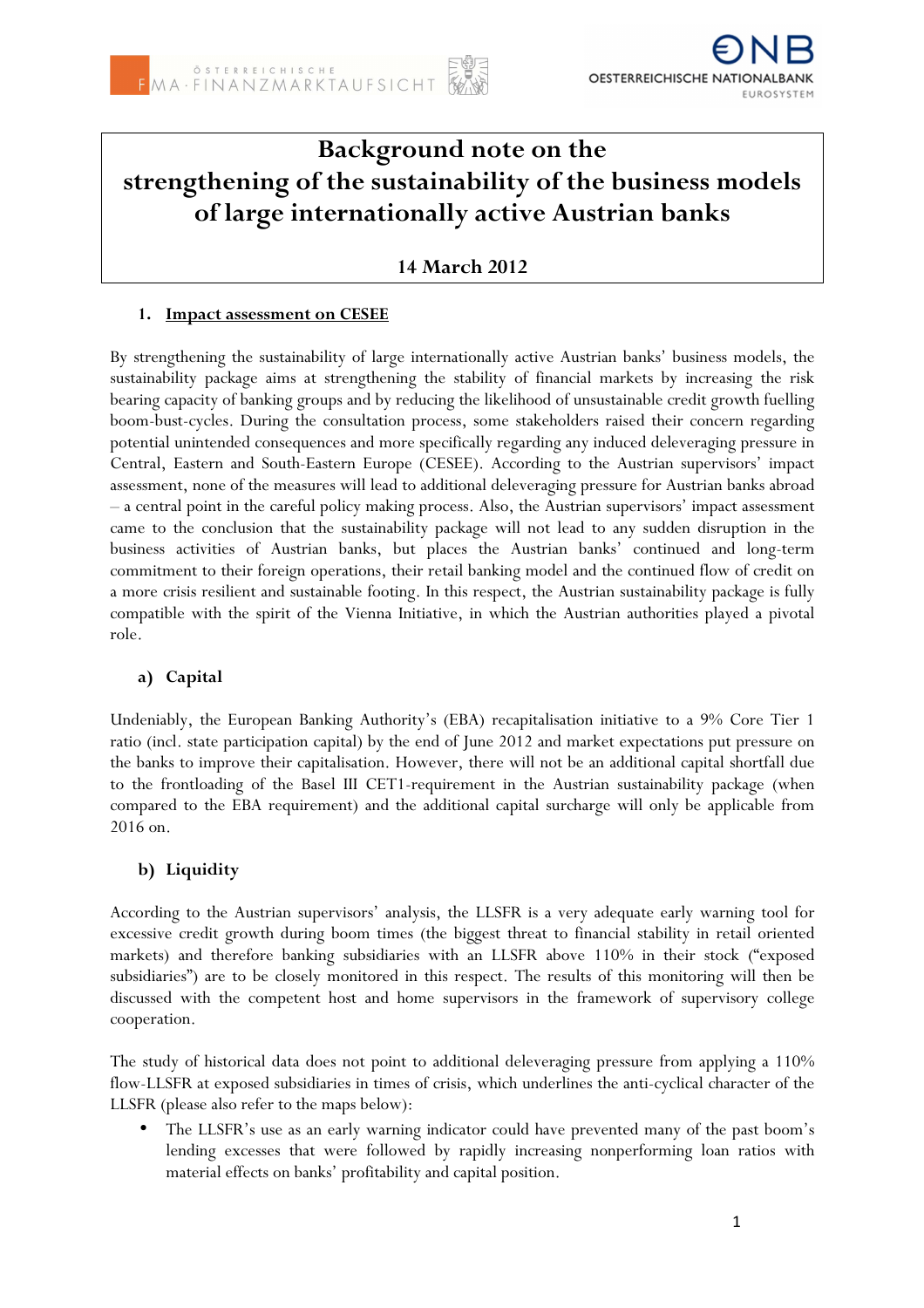

# **Background note on the strengthening of the sustainability of the business models of large internationally active Austrian banks**

## **14 March 2012**

## **1. Impact assessment on CESEE**

By strengthening the sustainability of large internationally active Austrian banks' business models, the sustainability package aims at strengthening the stability of financial markets by increasing the risk bearing capacity of banking groups and by reducing the likelihood of unsustainable credit growth fuelling boom-bust-cycles. During the consultation process, some stakeholders raised their concern regarding potential unintended consequences and more specifically regarding any induced deleveraging pressure in Central, Eastern and South-Eastern Europe (CESEE). According to the Austrian supervisors' impact assessment, none of the measures will lead to additional deleveraging pressure for Austrian banks abroad – a central point in the careful policy making process. Also, the Austrian supervisors' impact assessment came to the conclusion that the sustainability package will not lead to any sudden disruption in the business activities of Austrian banks, but places the Austrian banks' continued and long-term commitment to their foreign operations, their retail banking model and the continued flow of credit on a more crisis resilient and sustainable footing. In this respect, the Austrian sustainability package is fully compatible with the spirit of the Vienna Initiative, in which the Austrian authorities played a pivotal role.

## **a) Capital**

Undeniably, the European Banking Authority's (EBA) recapitalisation initiative to a 9% Core Tier 1 ratio (incl. state participation capital) by the end of June 2012 and market expectations put pressure on the banks to improve their capitalisation. However, there will not be an additional capital shortfall due to the frontloading of the Basel III CET1-requirement in the Austrian sustainability package (when compared to the EBA requirement) and the additional capital surcharge will only be applicable from 2016 on.

## **b) Liquidity**

According to the Austrian supervisors' analysis, the LLSFR is a very adequate early warning tool for excessive credit growth during boom times (the biggest threat to financial stability in retail oriented markets) and therefore banking subsidiaries with an LLSFR above 110% in their stock ("exposed subsidiaries") are to be closely monitored in this respect. The results of this monitoring will then be discussed with the competent host and home supervisors in the framework of supervisory college cooperation.

The study of historical data does not point to additional deleveraging pressure from applying a 110% flow-LLSFR at exposed subsidiaries in times of crisis, which underlines the anti-cyclical character of the LLSFR (please also refer to the maps below):

The LLSFR's use as an early warning indicator could have prevented many of the past boom's lending excesses that were followed by rapidly increasing nonperforming loan ratios with material effects on banks' profitability and capital position.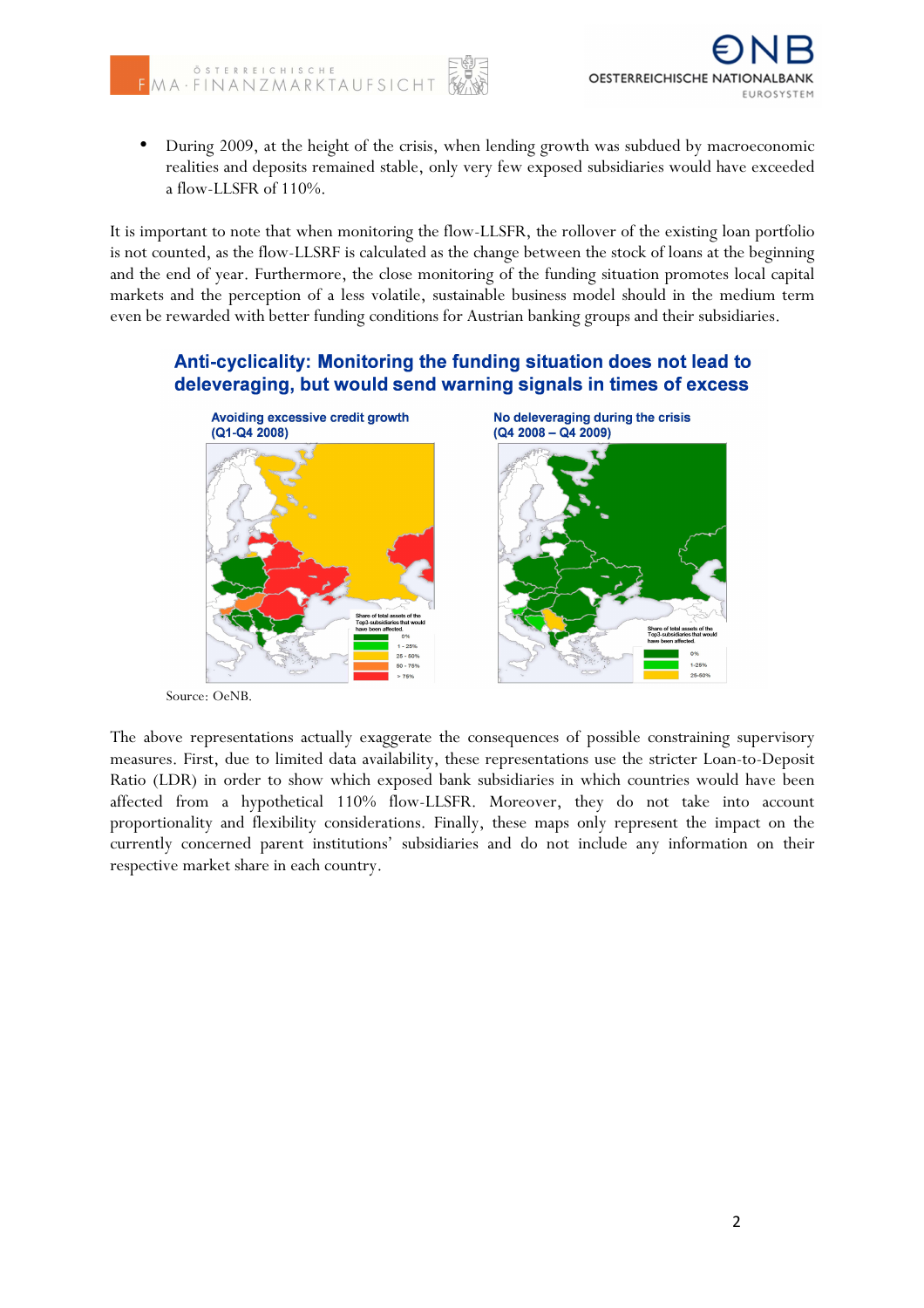

• During 2009, at the height of the crisis, when lending growth was subdued by macroeconomic realities and deposits remained stable, only very few exposed subsidiaries would have exceeded a flow-LLSFR of 110%.

It is important to note that when monitoring the flow-LLSFR, the rollover of the existing loan portfolio is not counted, as the flow-LLSRF is calculated as the change between the stock of loans at the beginning and the end of year. Furthermore, the close monitoring of the funding situation promotes local capital markets and the perception of a less volatile, sustainable business model should in the medium term even be rewarded with better funding conditions for Austrian banking groups and their subsidiaries.

## Anti-cyclicality: Monitoring the funding situation does not lead to deleveraging, but would send warning signals in times of excess



Source: OeNB.

The above representations actually exaggerate the consequences of possible constraining supervisory measures. First, due to limited data availability, these representations use the stricter Loan-to-Deposit Ratio (LDR) in order to show which exposed bank subsidiaries in which countries would have been affected from a hypothetical 110% flow-LLSFR. Moreover, they do not take into account proportionality and flexibility considerations. Finally, these maps only represent the impact on the currently concerned parent institutions' subsidiaries and do not include any information on their respective market share in each country.